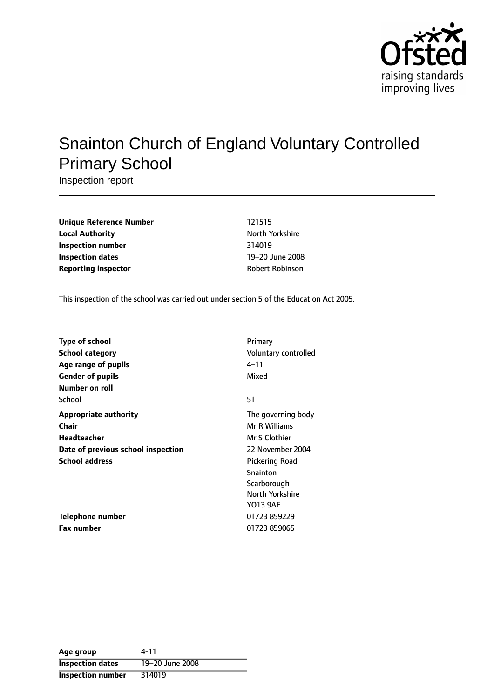

# Snainton Church of England Voluntary Controlled Primary School

Inspection report

| <b>Unique Reference Number</b> | 121515                 |
|--------------------------------|------------------------|
| <b>Local Authority</b>         | North Yorkshire        |
| <b>Inspection number</b>       | 314019                 |
| Inspection dates               | 19-20 June 2008        |
| <b>Reporting inspector</b>     | <b>Robert Robinson</b> |

This inspection of the school was carried out under section 5 of the Education Act 2005.

| <b>Type of school</b>              | Primary               |
|------------------------------------|-----------------------|
| School category                    | Voluntary controlled  |
| Age range of pupils                | 4–11                  |
| <b>Gender of pupils</b>            | Mixed                 |
| Number on roll                     |                       |
| School                             | 51                    |
| <b>Appropriate authority</b>       | The governing body    |
| Chair                              | Mr R Williams         |
| Headteacher                        | Mr S Clothier         |
| Date of previous school inspection | 22 November 2004      |
| <b>School address</b>              | <b>Pickering Road</b> |
|                                    | Snainton              |
|                                    | Scarborough           |
|                                    | North Yorkshire       |
|                                    | Y013 9AF              |
| <b>Telephone number</b>            | 01723 859229          |
| <b>Fax number</b>                  | 01723 859065          |

| Age group                | 4-11            |
|--------------------------|-----------------|
| <b>Inspection dates</b>  | 19-20 June 2008 |
| <b>Inspection number</b> | 314019          |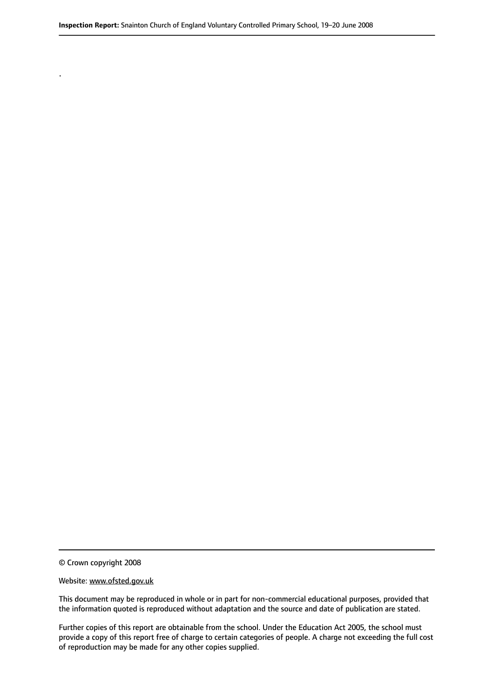© Crown copyright 2008

.

#### Website: www.ofsted.gov.uk

This document may be reproduced in whole or in part for non-commercial educational purposes, provided that the information quoted is reproduced without adaptation and the source and date of publication are stated.

Further copies of this report are obtainable from the school. Under the Education Act 2005, the school must provide a copy of this report free of charge to certain categories of people. A charge not exceeding the full cost of reproduction may be made for any other copies supplied.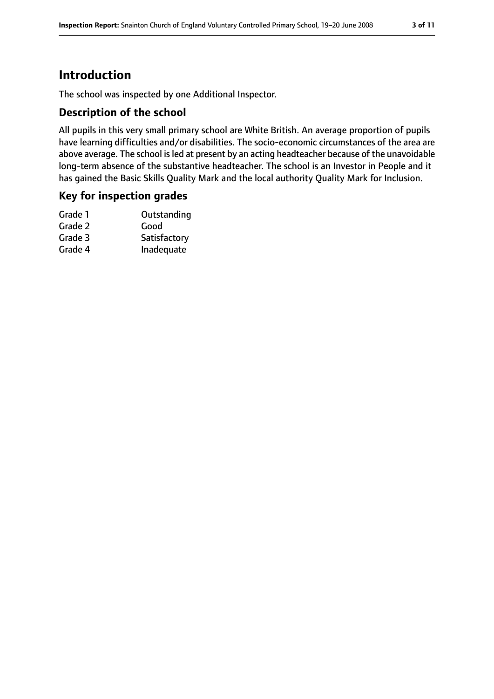# **Introduction**

The school was inspected by one Additional Inspector.

### **Description of the school**

All pupils in this very small primary school are White British. An average proportion of pupils have learning difficulties and/or disabilities. The socio-economic circumstances of the area are above average. The school is led at present by an acting headteacher because of the unavoidable long-term absence of the substantive headteacher. The school is an Investor in People and it has gained the Basic Skills Quality Mark and the local authority Quality Mark for Inclusion.

### **Key for inspection grades**

| Outstanding  |
|--------------|
| Good         |
| Satisfactory |
| Inadequate   |
|              |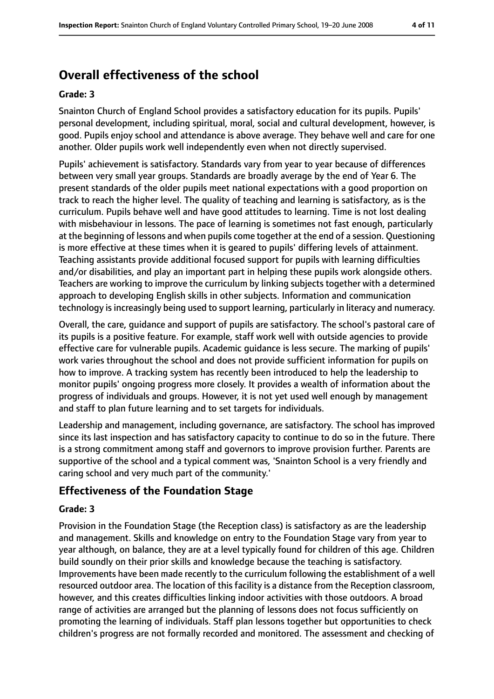# **Overall effectiveness of the school**

#### **Grade: 3**

Snainton Church of England School provides a satisfactory education for its pupils. Pupils' personal development, including spiritual, moral, social and cultural development, however, is good. Pupils enjoy school and attendance is above average. They behave well and care for one another. Older pupils work well independently even when not directly supervised.

Pupils' achievement is satisfactory. Standards vary from year to year because of differences between very small year groups. Standards are broadly average by the end of Year 6. The present standards of the older pupils meet national expectations with a good proportion on track to reach the higher level. The quality of teaching and learning is satisfactory, as is the curriculum. Pupils behave well and have good attitudes to learning. Time is not lost dealing with misbehaviour in lessons. The pace of learning is sometimes not fast enough, particularly at the beginning of lessons and when pupils come together at the end of a session. Questioning is more effective at these times when it is geared to pupils' differing levels of attainment. Teaching assistants provide additional focused support for pupils with learning difficulties and/or disabilities, and play an important part in helping these pupils work alongside others. Teachers are working to improve the curriculum by linking subjects together with a determined approach to developing English skills in other subjects. Information and communication technology is increasingly being used to support learning, particularly in literacy and numeracy.

Overall, the care, guidance and support of pupils are satisfactory. The school's pastoral care of its pupils is a positive feature. For example, staff work well with outside agencies to provide effective care for vulnerable pupils. Academic guidance is less secure. The marking of pupils' work varies throughout the school and does not provide sufficient information for pupils on how to improve. A tracking system has recently been introduced to help the leadership to monitor pupils' ongoing progress more closely. It provides a wealth of information about the progress of individuals and groups. However, it is not yet used well enough by management and staff to plan future learning and to set targets for individuals.

Leadership and management, including governance, are satisfactory. The school has improved since its last inspection and has satisfactory capacity to continue to do so in the future. There is a strong commitment among staff and governors to improve provision further. Parents are supportive of the school and a typical comment was, 'Snainton School is a very friendly and caring school and very much part of the community.'

# **Effectiveness of the Foundation Stage**

### **Grade: 3**

Provision in the Foundation Stage (the Reception class) is satisfactory as are the leadership and management. Skills and knowledge on entry to the Foundation Stage vary from year to year although, on balance, they are at a level typically found for children of this age. Children build soundly on their prior skills and knowledge because the teaching is satisfactory. Improvements have been made recently to the curriculum following the establishment of a well resourced outdoor area. The location of this facility is a distance from the Reception classroom, however, and this creates difficulties linking indoor activities with those outdoors. A broad range of activities are arranged but the planning of lessons does not focus sufficiently on promoting the learning of individuals. Staff plan lessons together but opportunities to check children's progress are not formally recorded and monitored. The assessment and checking of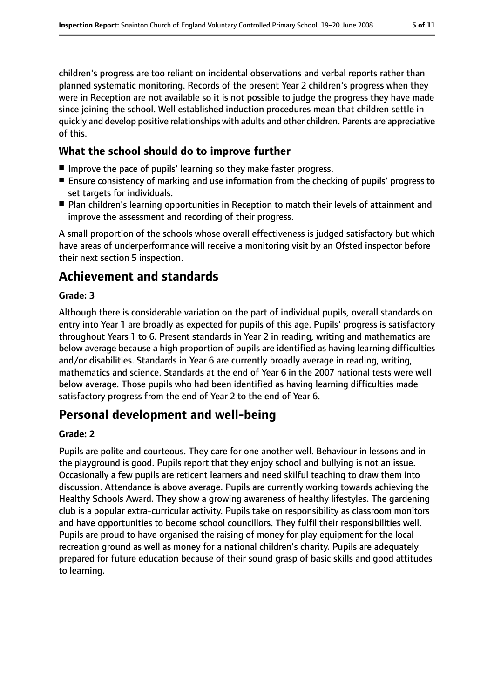children's progress are too reliant on incidental observations and verbal reports rather than planned systematic monitoring. Records of the present Year 2 children's progress when they were in Reception are not available so it is not possible to judge the progress they have made since joining the school. Well established induction procedures mean that children settle in quickly and develop positive relationships with adults and other children. Parents are appreciative of this.

# **What the school should do to improve further**

- Improve the pace of pupils' learning so they make faster progress.
- Ensure consistency of marking and use information from the checking of pupils' progress to set targets for individuals.
- Plan children's learning opportunities in Reception to match their levels of attainment and improve the assessment and recording of their progress.

A small proportion of the schools whose overall effectiveness is judged satisfactory but which have areas of underperformance will receive a monitoring visit by an Ofsted inspector before their next section 5 inspection.

# **Achievement and standards**

### **Grade: 3**

Although there is considerable variation on the part of individual pupils, overall standards on entry into Year 1 are broadly as expected for pupils of this age. Pupils' progress is satisfactory throughout Years 1 to 6. Present standards in Year 2 in reading, writing and mathematics are below average because a high proportion of pupils are identified as having learning difficulties and/or disabilities. Standards in Year 6 are currently broadly average in reading, writing, mathematics and science. Standards at the end of Year 6 in the 2007 national tests were well below average. Those pupils who had been identified as having learning difficulties made satisfactory progress from the end of Year 2 to the end of Year 6.

# **Personal development and well-being**

### **Grade: 2**

Pupils are polite and courteous. They care for one another well. Behaviour in lessons and in the playground is good. Pupils report that they enjoy school and bullying is not an issue. Occasionally a few pupils are reticent learners and need skilful teaching to draw them into discussion. Attendance is above average. Pupils are currently working towards achieving the Healthy Schools Award. They show a growing awareness of healthy lifestyles. The gardening club is a popular extra-curricular activity. Pupils take on responsibility as classroom monitors and have opportunities to become school councillors. They fulfil their responsibilities well. Pupils are proud to have organised the raising of money for play equipment for the local recreation ground as well as money for a national children's charity. Pupils are adequately prepared for future education because of their sound grasp of basic skills and good attitudes to learning.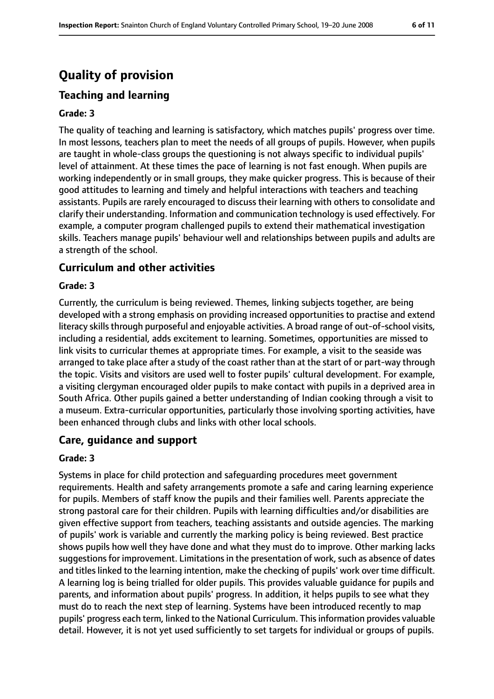# **Quality of provision**

# **Teaching and learning**

#### **Grade: 3**

The quality of teaching and learning is satisfactory, which matches pupils' progress over time. In most lessons, teachers plan to meet the needs of all groups of pupils. However, when pupils are taught in whole-class groups the questioning is not always specific to individual pupils' level of attainment. At these times the pace of learning is not fast enough. When pupils are working independently or in small groups, they make quicker progress. This is because of their good attitudes to learning and timely and helpful interactions with teachers and teaching assistants. Pupils are rarely encouraged to discuss their learning with others to consolidate and clarify their understanding. Information and communication technology is used effectively. For example, a computer program challenged pupils to extend their mathematical investigation skills. Teachers manage pupils' behaviour well and relationships between pupils and adults are a strength of the school.

### **Curriculum and other activities**

#### **Grade: 3**

Currently, the curriculum is being reviewed. Themes, linking subjects together, are being developed with a strong emphasis on providing increased opportunities to practise and extend literacy skills through purposeful and enjoyable activities. A broad range of out-of-school visits, including a residential, adds excitement to learning. Sometimes, opportunities are missed to link visits to curricular themes at appropriate times. For example, a visit to the seaside was arranged to take place after a study of the coast rather than at the start of or part-way through the topic. Visits and visitors are used well to foster pupils' cultural development. For example, a visiting clergyman encouraged older pupils to make contact with pupils in a deprived area in South Africa. Other pupils gained a better understanding of Indian cooking through a visit to a museum. Extra-curricular opportunities, particularly those involving sporting activities, have been enhanced through clubs and links with other local schools.

### **Care, guidance and support**

#### **Grade: 3**

Systems in place for child protection and safeguarding procedures meet government requirements. Health and safety arrangements promote a safe and caring learning experience for pupils. Members of staff know the pupils and their families well. Parents appreciate the strong pastoral care for their children. Pupils with learning difficulties and/or disabilities are given effective support from teachers, teaching assistants and outside agencies. The marking of pupils' work is variable and currently the marking policy is being reviewed. Best practice shows pupils how well they have done and what they must do to improve. Other marking lacks suggestions for improvement. Limitations in the presentation of work, such as absence of dates and titles linked to the learning intention, make the checking of pupils' work over time difficult. A learning log is being trialled for older pupils. This provides valuable guidance for pupils and parents, and information about pupils' progress. In addition, it helps pupils to see what they must do to reach the next step of learning. Systems have been introduced recently to map pupils' progress each term, linked to the National Curriculum. This information provides valuable detail. However, it is not yet used sufficiently to set targets for individual or groups of pupils.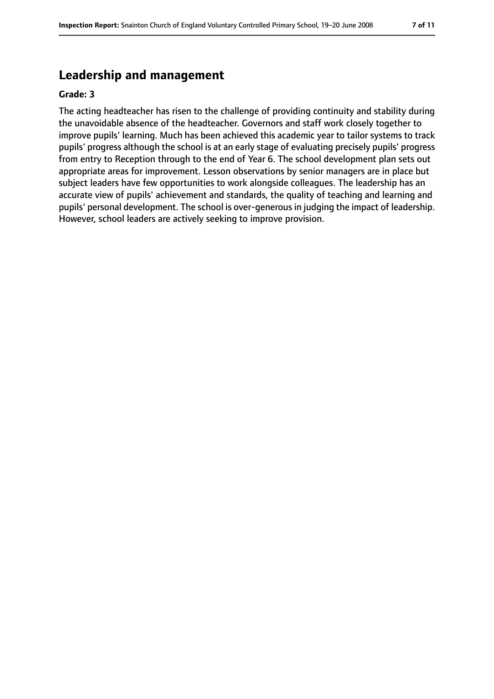# **Leadership and management**

#### **Grade: 3**

The acting headteacher has risen to the challenge of providing continuity and stability during the unavoidable absence of the headteacher. Governors and staff work closely together to improve pupils' learning. Much has been achieved this academic year to tailor systems to track pupils' progress although the school is at an early stage of evaluating precisely pupils' progress from entry to Reception through to the end of Year 6. The school development plan sets out appropriate areas for improvement. Lesson observations by senior managers are in place but subject leaders have few opportunities to work alongside colleagues. The leadership has an accurate view of pupils' achievement and standards, the quality of teaching and learning and pupils' personal development. The school is over-generous in judging the impact of leadership. However, school leaders are actively seeking to improve provision.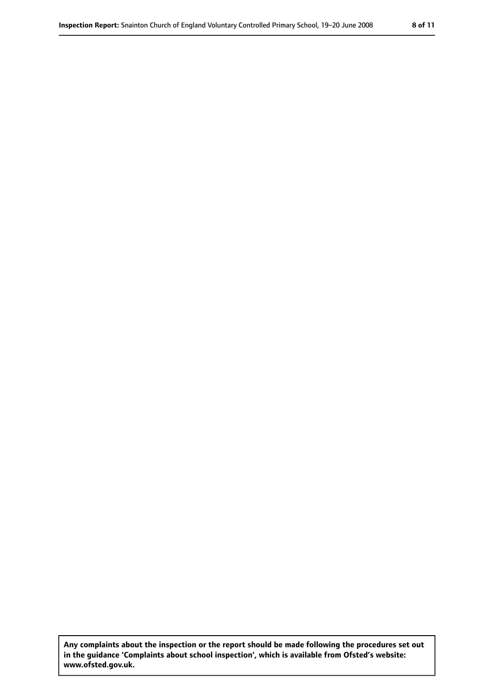**Any complaints about the inspection or the report should be made following the procedures set out in the guidance 'Complaints about school inspection', which is available from Ofsted's website: www.ofsted.gov.uk.**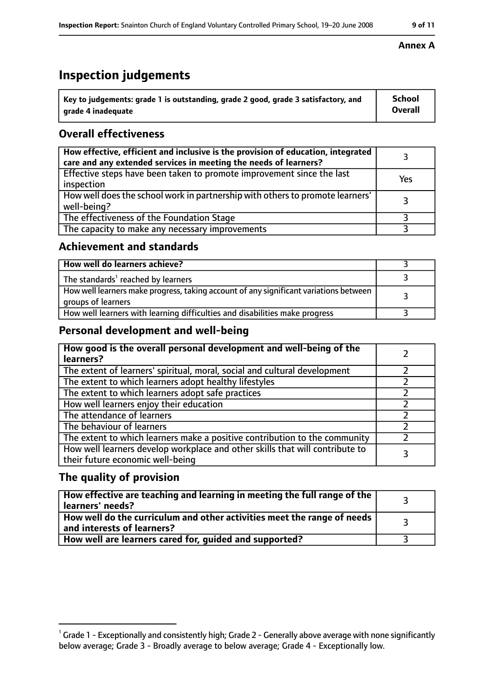# **Inspection judgements**

| ˈ Key to judgements: grade 1 is outstanding, grade 2 good, grade 3 satisfactory, and | <b>School</b>  |
|--------------------------------------------------------------------------------------|----------------|
| grade 4 inadequate                                                                   | <b>Overall</b> |

# **Overall effectiveness**

| How effective, efficient and inclusive is the provision of education, integrated<br>care and any extended services in meeting the needs of learners? |     |
|------------------------------------------------------------------------------------------------------------------------------------------------------|-----|
| Effective steps have been taken to promote improvement since the last<br>inspection                                                                  | Yes |
| How well does the school work in partnership with others to promote learners'<br>well-being?                                                         |     |
| The effectiveness of the Foundation Stage                                                                                                            |     |
| The capacity to make any necessary improvements                                                                                                      |     |

### **Achievement and standards**

| How well do learners achieve?                                                                               |  |
|-------------------------------------------------------------------------------------------------------------|--|
| The standards <sup>1</sup> reached by learners                                                              |  |
| How well learners make progress, taking account of any significant variations between<br>groups of learners |  |
| How well learners with learning difficulties and disabilities make progress                                 |  |

# **Personal development and well-being**

| How good is the overall personal development and well-being of the<br>learners?                                  |  |
|------------------------------------------------------------------------------------------------------------------|--|
| The extent of learners' spiritual, moral, social and cultural development                                        |  |
| The extent to which learners adopt healthy lifestyles                                                            |  |
| The extent to which learners adopt safe practices                                                                |  |
| How well learners enjoy their education                                                                          |  |
| The attendance of learners                                                                                       |  |
| The behaviour of learners                                                                                        |  |
| The extent to which learners make a positive contribution to the community                                       |  |
| How well learners develop workplace and other skills that will contribute to<br>their future economic well-being |  |

### **The quality of provision**

| How effective are teaching and learning in meeting the full range of the<br>learners' needs?          |  |
|-------------------------------------------------------------------------------------------------------|--|
| How well do the curriculum and other activities meet the range of needs<br>and interests of learners? |  |
| How well are learners cared for, guided and supported?                                                |  |

#### **Annex A**

 $^1$  Grade 1 - Exceptionally and consistently high; Grade 2 - Generally above average with none significantly below average; Grade 3 - Broadly average to below average; Grade 4 - Exceptionally low.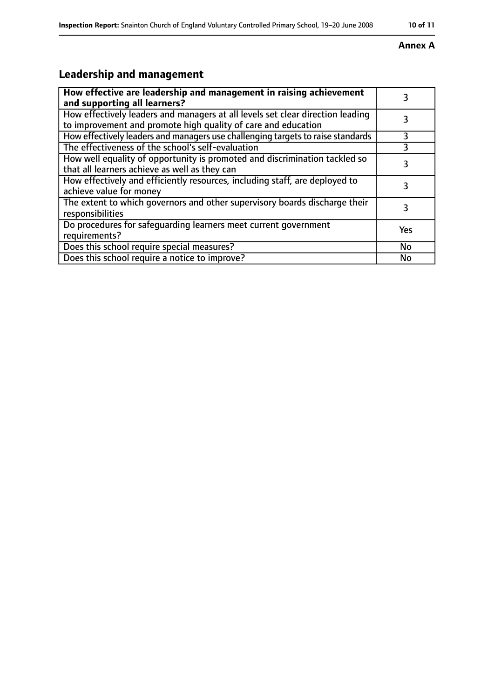#### **Annex A**

# **Leadership and management**

| How effective are leadership and management in raising achievement<br>and supporting all learners?                                              |     |
|-------------------------------------------------------------------------------------------------------------------------------------------------|-----|
| How effectively leaders and managers at all levels set clear direction leading<br>to improvement and promote high quality of care and education |     |
| How effectively leaders and managers use challenging targets to raise standards                                                                 | 3   |
| The effectiveness of the school's self-evaluation                                                                                               | 3   |
| How well equality of opportunity is promoted and discrimination tackled so<br>that all learners achieve as well as they can                     |     |
| How effectively and efficiently resources, including staff, are deployed to<br>achieve value for money                                          | 3   |
| The extent to which governors and other supervisory boards discharge their<br>responsibilities                                                  |     |
| Do procedures for safequarding learners meet current government<br>requirements?                                                                | Yes |
| Does this school require special measures?                                                                                                      | No  |
| Does this school require a notice to improve?                                                                                                   | No  |